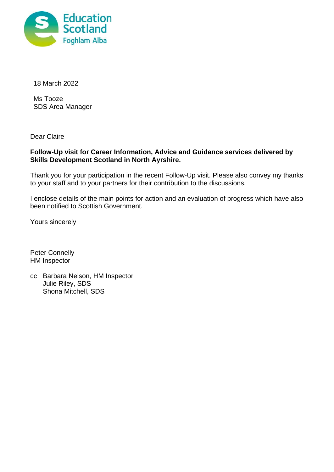

18 March 2022

Ms Tooze SDS Area Manager

Dear Claire

# **Follow-Up visit for Career Information, Advice and Guidance services delivered by Skills Development Scotland in North Ayrshire.**

Thank you for your participation in the recent Follow-Up visit. Please also convey my thanks to your staff and to your partners for their contribution to the discussions.

I enclose details of the main points for action and an evaluation of progress which have also been notified to Scottish Government.

Yours sincerely

Peter Connelly HM Inspector

cc Barbara Nelson, HM Inspector Julie Riley, SDS Shona Mitchell, SDS